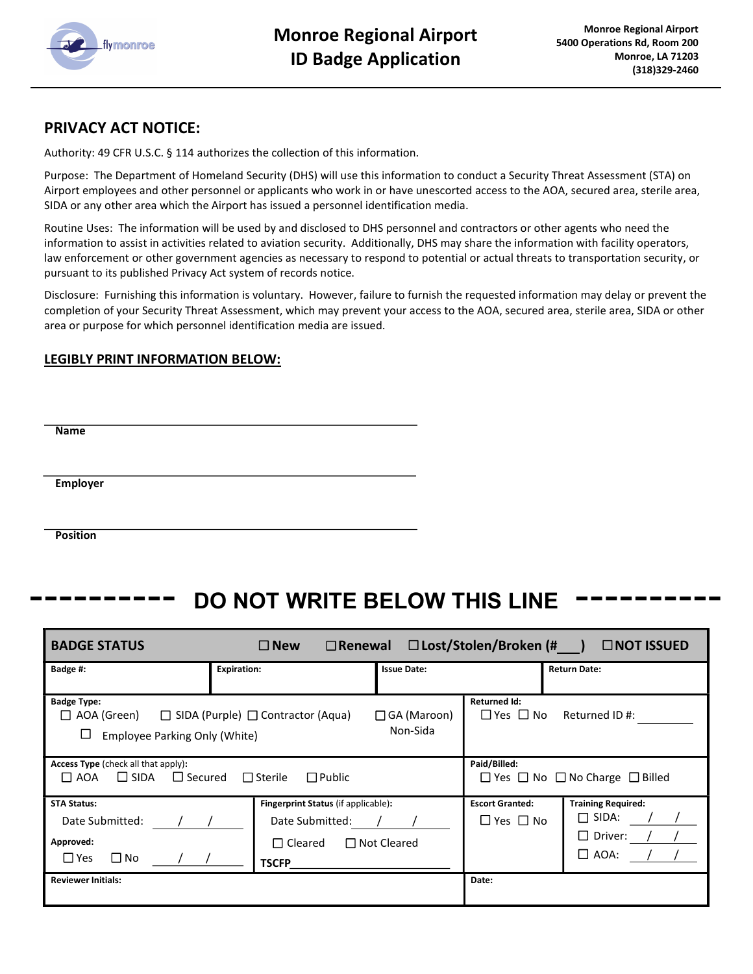

# PRIVACY ACT NOTICE:

Authority: 49 CFR U.S.C. § 114 authorizes the collection of this information.

Purpose: The Department of Homeland Security (DHS) will use this information to conduct a Security Threat Assessment (STA) on Airport employees and other personnel or applicants who work in or have unescorted access to the AOA, secured area, sterile area, SIDA or any other area which the Airport has issued a personnel identification media.

Routine Uses: The information will be used by and disclosed to DHS personnel and contractors or other agents who need the information to assist in activities related to aviation security. Additionally, DHS may share the information with facility operators, law enforcement or other government agencies as necessary to respond to potential or actual threats to transportation security, or pursuant to its published Privacy Act system of records notice.

Disclosure: Furnishing this information is voluntary. However, failure to furnish the requested information may delay or prevent the completion of your Security Threat Assessment, which may prevent your access to the AOA, secured area, sterile area, SIDA or other area or purpose for which personnel identification media are issued.

## LEGIBLY PRINT INFORMATION BELOW:

Name

Employer

**Position** 

٦

# DO NOT WRITE BELOW THIS LINE

| □ Lost/Stolen/Broken (# ) □ NOT ISSUED<br>$\square$ New<br>$\Box$ Renewal<br><b>BADGE STATUS</b>                             |                                                                                          |                    |                                                |                                                                            |  |  |  |  |  |  |
|------------------------------------------------------------------------------------------------------------------------------|------------------------------------------------------------------------------------------|--------------------|------------------------------------------------|----------------------------------------------------------------------------|--|--|--|--|--|--|
| Badge #:                                                                                                                     | <b>Expiration:</b>                                                                       | <b>Issue Date:</b> |                                                | <b>Return Date:</b>                                                        |  |  |  |  |  |  |
| <b>Badge Type:</b><br>$\Box$ AOA (Green) $\Box$ SIDA (Purple) $\Box$ Contractor (Aqua)<br>⊔<br>Employee Parking Only (White) | <b>Returned Id:</b><br>$\Box$ Yes $\Box$ No<br>Returned ID #:                            |                    |                                                |                                                                            |  |  |  |  |  |  |
| <b>Access Type</b> (check all that apply):<br>$\Box$ AOA $\Box$ SIDA $\Box$ Secured                                          | Paid/Billed:<br>$\Box$ Yes $\Box$ No $\Box$ No Charge $\Box$ Billed                      |                    |                                                |                                                                            |  |  |  |  |  |  |
| <b>STA Status:</b><br>Date Submitted:<br>Approved:<br>$\Box$ Yes<br>$\square$ No                                             | Fingerprint Status (if applicable):<br>Date Submitted:<br>$\Box$ Cleared<br><b>TSCFP</b> | $\Box$ Not Cleared | <b>Escort Granted:</b><br>$\Box$ Yes $\Box$ No | <b>Training Required:</b><br>$\Box$ SIDA:<br>$\Box$ Driver:<br>$\Box$ AOA: |  |  |  |  |  |  |
| <b>Reviewer Initials:</b>                                                                                                    |                                                                                          |                    | Date:                                          |                                                                            |  |  |  |  |  |  |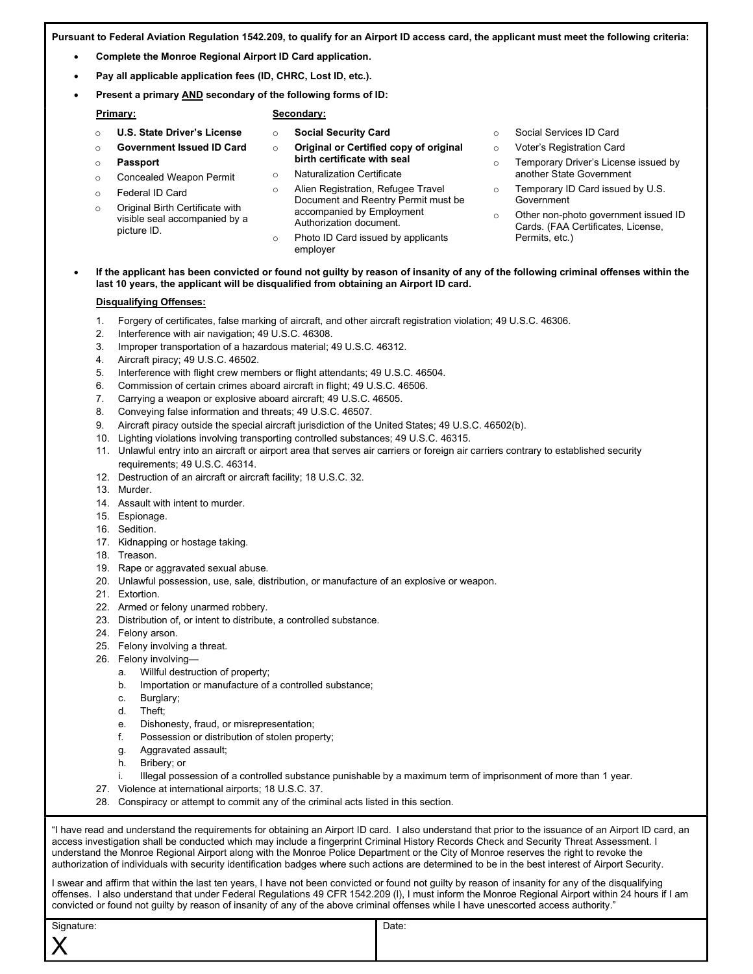Pursuant to Federal Aviation Regulation 1542.209, to qualify for an Airport ID access card, the applicant must meet the following criteria:

- Complete the Monroe Regional Airport ID Card application.
- Pay all applicable application fees (ID, CHRC, Lost ID, etc.).
- Present a primary AND secondary of the following forms of ID:

- o U.S. State Driver's License
	- o Social Security Card

Secondary:

- o Original or Certified copy of original birth certificate with seal
- o Naturalization Certificate
- o Concealed Weapon Permit o Federal ID Card

o Passport

Primary:

o Original Birth Certificate with visible seal accompanied by a picture ID.

o Government Issued ID Card

- o Alien Registration, Refugee Travel Document and Reentry Permit must be accompanied by Employment Authorization document.
- o Photo ID Card issued by applicants employer
- o Social Services ID Card
- o Voter's Registration Card
- o Temporary Driver's License issued by another State Government
- o Temporary ID Card issued by U.S. Government
- o Other non-photo government issued ID Cards. (FAA Certificates, License, Permits, etc.)

### If the applicant has been convicted or found not guilty by reason of insanity of any of the following criminal offenses within the last 10 years, the applicant will be disqualified from obtaining an Airport ID card.

## Disqualifying Offenses:

- 1. Forgery of certificates, false marking of aircraft, and other aircraft registration violation; 49 U.S.C. 46306.
- 2. Interference with air navigation; 49 U.S.C. 46308.
- 3. Improper transportation of a hazardous material; 49 U.S.C. 46312.
- 4. Aircraft piracy; 49 U.S.C. 46502.
- 5. Interference with flight crew members or flight attendants; 49 U.S.C. 46504.
- 6. Commission of certain crimes aboard aircraft in flight; 49 U.S.C. 46506.
- 7. Carrying a weapon or explosive aboard aircraft; 49 U.S.C. 46505.
- 8. Conveying false information and threats; 49 U.S.C. 46507.
- 9. Aircraft piracy outside the special aircraft jurisdiction of the United States; 49 U.S.C. 46502(b).
- 10. Lighting violations involving transporting controlled substances; 49 U.S.C. 46315.
- 11. Unlawful entry into an aircraft or airport area that serves air carriers or foreign air carriers contrary to established security requirements; 49 U.S.C. 46314.
- 12. Destruction of an aircraft or aircraft facility; 18 U.S.C. 32.
- 13. Murder.
- 14. Assault with intent to murder.
- 15. Espionage.
- 16. Sedition.
- 17. Kidnapping or hostage taking.
- 18. Treason.
- 19. Rape or aggravated sexual abuse.
- 20. Unlawful possession, use, sale, distribution, or manufacture of an explosive or weapon.
- 21. Extortion.
- 22. Armed or felony unarmed robbery.
- 23. Distribution of, or intent to distribute, a controlled substance.
- 24. Felony arson.
- 25. Felony involving a threat.
- 26. Felony involving
	- a. Willful destruction of property;
	- b. Importation or manufacture of a controlled substance;
	- c. Burglary;
	- d. Theft;
	- e. Dishonesty, fraud, or misrepresentation;
	- f. Possession or distribution of stolen property;
	- g. Aggravated assault;
	- h. Bribery; or
	- i. Illegal possession of a controlled substance punishable by a maximum term of imprisonment of more than 1 year.
- 27. Violence at international airports; 18 U.S.C. 37.
- 28. Conspiracy or attempt to commit any of the criminal acts listed in this section.

"I have read and understand the requirements for obtaining an Airport ID card. I also understand that prior to the issuance of an Airport ID card, an access investigation shall be conducted which may include a fingerprint Criminal History Records Check and Security Threat Assessment. I understand the Monroe Regional Airport along with the Monroe Police Department or the City of Monroe reserves the right to revoke the authorization of individuals with security identification badges where such actions are determined to be in the best interest of Airport Security.

I swear and affirm that within the last ten years, I have not been convicted or found not guilty by reason of insanity for any of the disqualifying offenses. I also understand that under Federal Regulations 49 CFR 1542.209 (l), I must inform the Monroe Regional Airport within 24 hours if I am convicted or found not guilty by reason of insanity of any of the above criminal offenses while I have unescorted access authority."

| Signature: | Date: |
|------------|-------|
| ___        |       |